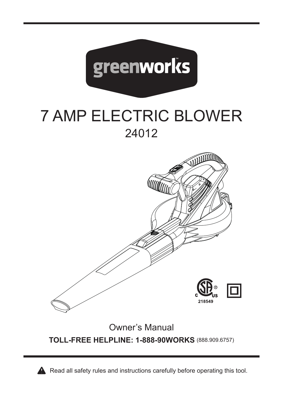

# 7 AMP ELECTRIC BLOWER 24012



**TOLL-FREE HELPLINE: 1-888-90WORKS** (888.909.6757)



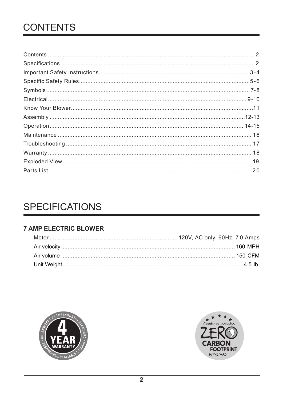## **CONTENTS**

## **SPECIFICATIONS**

#### **7 AMP ELECTRIC BLOWER**



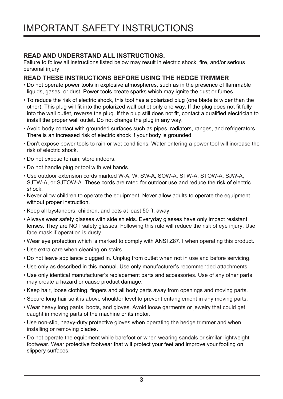#### **READ AND UNDERSTAND ALL INSTRUCTIONS.**

Failure to follow all instructions listed below may result in electric shock, fire, and/or serious personal injury.

#### **READ THESE INSTRUCTIONS BEFORE USING THE HEDGE TRIMMER**

- Do not operate power tools in explosive atmospheres, such as in the presence of flammable liquids, gases, or dust. Power tools create sparks which may ignite the dust or fumes.
- To reduce the risk of electric shock, this tool has a polarized plug (one blade is wider than the other). This plug will fit into the polarized wall outlet only one way. If the plug does not fit fully into the wall outlet, reverse the plug. If the plug still does not fit, contact a qualified electrician to install the proper wall outlet. Do not change the plug in any way.
- Avoid body contact with grounded surfaces such as pipes, radiators, ranges, and refrigerators. There is an increased risk of electric shock if your body is grounded.
- Don't expose power tools to rain or wet conditions. Water entering a power tool will increase the risk of electric shock.
- Do not expose to rain; store indoors.
- Do not handle plug or tool with wet hands.
- Use outdoor extension cords marked W-A, W, SW-A, SOW-A, STW-A, STOW-A, SJW-A, SJTW-A, or SJTOW-A. These cords are rated for outdoor use and reduce the risk of electric shock.
- Never allow children to operate the equipment. Never allow adults to operate the equipment without proper instruction.
- Keep all bystanders, children, and pets at least 50 ft. away.
- Always wear safety glasses with side shields. Everyday glasses have only impact resistant lenses. They are NOT safety glasses. Following this rule will reduce the risk of eye injury. Use face mask if operation is dusty.
- Wear eye protection which is marked to comply with ANSI Z87.1 when operating this product.
- Use extra care when cleaning on stairs.
- Do not leave appliance plugged in. Unplug from outlet when not in use and before servicing.
- Use only as described in this manual. Use only manufacturer's recommended attachments.
- Use only identical manufacturer's replacement parts and accessories. Use of any other parts may create a hazard or cause product damage.
- Keep hair, loose clothing, fingers and all body parts away from openings and moving parts.
- Secure long hair so it is above shoulder level to prevent entanglement in any moving parts.
- Wear heavy long pants, boots, and gloves. Avoid loose garments or jewelry that could get caught in moving parts of the machine or its motor.
- Use non-slip, heavy-duty protective gloves when operating the hedge trimmer and when installing or removing blades.
- Do not operate the equipment while barefoot or when wearing sandals or similar lightweight footwear. Wear protective footwear that will protect your feet and improve your footing on slippery surfaces.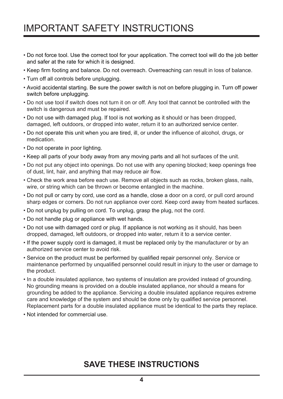## IMPORTANT SAFETY INSTRUCTIONS

- Do not force tool. Use the correct tool for your application. The correct tool will do the job better and safer at the rate for which it is designed.
- Keep firm footing and balance. Do not overreach. Overreaching can result in loss of balance.
- Turn off all controls before unplugging.
- Avoid accidental starting. Be sure the power switch is not on before plugging in. Turn off power switch before unplugging.
- Do not use tool if switch does not turn it on or off. Any tool that cannot be controlled with the switch is dangerous and must be repaired.
- Do not use with damaged plug. If tool is not working as it should or has been dropped, damaged, left outdoors, or dropped into water, return it to an authorized service center.
- Do not operate this unit when you are tired, ill, or under the influence of alcohol, drugs, or medication.
- Do not operate in poor lighting.
- Keep all parts of your body away from any moving parts and all hot surfaces of the unit.
- Do not put any object into openings. Do not use with any opening blocked; keep openings free of dust, lint, hair, and anything that may reduce air flow.
- Check the work area before each use. Remove all objects such as rocks, broken glass, nails, wire, or string which can be thrown or become entangled in the machine.
- Do not pull or carry by cord, use cord as a handle, close a door on a cord, or pull cord around sharp edges or corners. Do not run appliance over cord. Keep cord away from heated surfaces.
- Do not unplug by pulling on cord. To unplug, grasp the plug, not the cord.
- Do not handle plug or appliance with wet hands.
- Do not use with damaged cord or plug. If appliance is not working as it should, has been dropped, damaged, left outdoors, or dropped into water, return it to a service center.
- If the power supply cord is damaged, it must be replaced only by the manufacturer or by an authorized service center to avoid risk.
- Service on the product must be performed by qualified repair personnel only. Service or maintenance performed by unqualified personnel could result in injury to the user or damage to the product.
- In a double insulated appliance, two systems of insulation are provided instead of grounding. No grounding means is provided on a double insulated appliance, nor should a means for grounding be added to the appliance. Servicing a double insulated appliance requires extreme care and knowledge of the system and should be done only by qualified service personnel. Replacement parts for a double insulated appliance must be identical to the parts they replace.
- Not intended for commercial use.

### **SAVE THESE INSTRUCTIONS**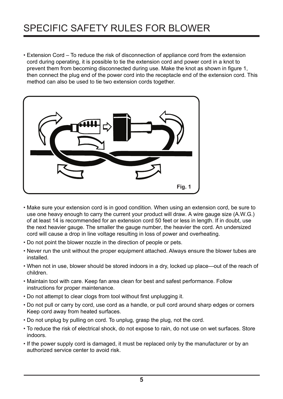## SPECIFIC SAFETY RULES FOR BLOWER

• Extension Cord – To reduce the risk of disconnection of appliance cord from the extension cord during operating, it is possible to tie the extension cord and power cord in a knot to prevent them from becoming disconnected during use. Make the knot as shown in figure 1, then connect the plug end of the power cord into the receptacle end of the extension cord. This method can also be used to tie two extension cords together.



- Make sure your extension cord is in good condition. When using an extension cord, be sure to use one heavy enough to carry the current your product will draw. A wire gauge size (A.W.G.) of at least 14 is recommended for an extension cord 50 feet or less in length. If in doubt, use the next heavier gauge. The smaller the gauge number, the heavier the cord. An undersized cord will cause a drop in line voltage resulting in loss of power and overheating.
- Do not point the blower nozzle in the direction of people or pets.
- Never run the unit without the proper equipment attached. Always ensure the blower tubes are installed.
- When not in use, blower should be stored indoors in a dry, locked up place—out of the reach of children.
- Maintain tool with care. Keep fan area clean for best and safest performance. Follow instructions for proper maintenance.
- Do not attempt to clear clogs from tool without first unplugging it.
- Do not pull or carry by cord, use cord as a handle, or pull cord around sharp edges or corners Keep cord away from heated surfaces.
- Do not unplug by pulling on cord. To unplug, grasp the plug, not the cord.
- To reduce the risk of electrical shock, do not expose to rain, do not use on wet surfaces. Store indoors.
- If the power supply cord is damaged, it must be replaced only by the manufacturer or by an authorized service center to avoid risk.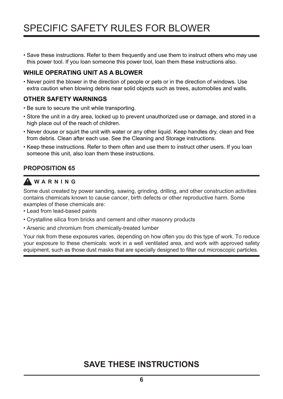• Save these instructions. Refer to them frequently and use them to instruct others who may use this power tool. If you loan someone this power tool, loan them these instructions also.

#### **WHILE OPERATING UNIT AS A BLOWER**

• Never point the blower in the direction of people or pets or in the direction of windows. Use extra caution when blowing debris near solid objects such as trees, automobiles and walls.

#### **OTHER SAFETY WARNINGS**

- Be sure to secure the unit while transporting.
- Store the unit in a dry area, locked up to prevent unauthorized use or damage, and stored in a high place out of the reach of children.
- Never douse or squirt the unit with water or any other liquid. Keep handles dry, clean and free from debris. Clean after each use. See the Cleaning and Storage instructions.
- Keep these instructions. Refer to them often and use them to instruct other users. If you loan someone this unit, also loan them these instructions.

#### **PROPOSITION 65**

#### **W A R N I N G**

Some dust created by power sanding, sawing, grinding, drilling, and other construction activities contains chemicals known to cause cancer, birth defects or other reproductive harm. Some examples of these chemicals are:

- Lead from lead-based paints
- Crystalline silica from bricks and cement and other masonry products
- Arsenic and chromium from chemically-treated lumber

Your risk from these exposures varies, depending on how often you do this type of work. To reduce your exposure to these chemicals: work in a well ventilated area, and work with approved safety equipment, such as those dust masks that are specially designed to filter out microscopic particles.

### **SAVE THESE INSTRUCTIONS**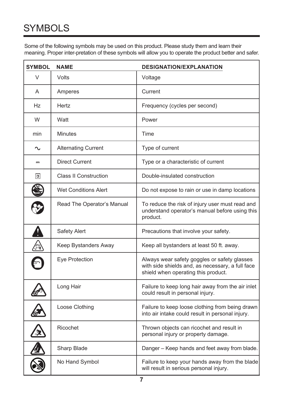## **SYMBOLS**

Some of the following symbols may be used on this product. Please study them and learn their meaning. Proper inter-pretation of these symbols will allow you to operate the product better and safer.

| <b>SYMBOL</b>                           | <b>NAME</b>                  | <b>DESIGNATION/EXPLANATION</b>                                                                                                          |
|-----------------------------------------|------------------------------|-----------------------------------------------------------------------------------------------------------------------------------------|
| $\vee$                                  | Volts                        | Voltage                                                                                                                                 |
| A                                       | Amperes                      | Current                                                                                                                                 |
| Ηz                                      | Hertz                        | Frequency (cycles per second)                                                                                                           |
| W                                       | Watt                         | Power                                                                                                                                   |
| min                                     | <b>Minutes</b>               | Time                                                                                                                                    |
| ∿                                       | <b>Alternating Current</b>   | Type of current                                                                                                                         |
| $\overline{a}$                          | <b>Direct Current</b>        | Type or a characteristic of current                                                                                                     |
| $\vert$ o $\vert$                       | <b>Class II Construction</b> | Double-insulated construction                                                                                                           |
| S.                                      | <b>Wet Conditions Alert</b>  | Do not expose to rain or use in damp locations                                                                                          |
|                                         | Read The Operator's Manual   | To reduce the risk of injury user must read and<br>understand operator's manual before using this<br>product.                           |
| $\boldsymbol{\Omega}$                   | Safety Alert                 | Precautions that involve your safety.                                                                                                   |
| $\sqrt{\frac{1}{\sqrt{1+\frac{1}{2}}}}$ | Keep Bystanders Away         | Keep all bystanders at least 50 ft. away.                                                                                               |
|                                         | Eye Protection               | Always wear safety goggles or safety glasses<br>with side shields and, as necessary, a full face<br>shield when operating this product. |
|                                         | Long Hair                    | Failure to keep long hair away from the air inlet<br>could result in personal injury.                                                   |
|                                         | Loose Clothing               | Failure to keep loose clothing from being drawn<br>into air intake could result in personal injury.                                     |
|                                         | Ricochet                     | Thrown objects can ricochet and result in<br>personal injury or property damage.                                                        |
|                                         | Sharp Blade                  | Danger - Keep hands and feet away from blade.                                                                                           |
|                                         | No Hand Symbol               | Failure to keep your hands away from the blade<br>will result in serious personal injury.                                               |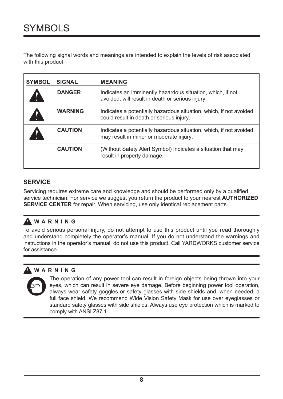The following signal words and meanings are intended to explain the levels of risk associated with this product.

| <b>SYMBOL</b> | <b>SIGNAL</b>  | <b>MEANING</b>                                                                                                  |
|---------------|----------------|-----------------------------------------------------------------------------------------------------------------|
|               | <b>DANGER</b>  | Indicates an imminently hazardous situation, which, if not<br>avoided, will result in death or serious injury.  |
|               | <b>WARNING</b> | Indicates a potentially hazardous situation, which, if not avoided,<br>could result in death or serious injury. |
|               | <b>CAUTION</b> | Indicates a potentially hazardous situation, which, if not avoided,<br>may result in minor or moderate injury.  |
|               | <b>CAUTION</b> | (Without Safety Alert Symbol) Indicates a situation that may<br>result in property damage.                      |

#### **SERVICE**

Servicing requires extreme care and knowledge and should be performed only by a qualified service technician. For service we suggest you return the product to your nearest **AUTHORIZED SERVICE CENTER** for repair. When servicing, use only identical replacement parts.

#### **W A R N I N G**

To avoid serious personal injury, do not attempt to use this product until you read thoroughly and understand completely the operator's manual. If you do not understand the warnings and instructions in the operator's manual, do not use this product. Call YARDWORKS customer service for assistance.

#### **W A R N I N G**

The operation of any power tool can result in foreign objects being thrown into your eyes, which can result in severe eye damage. Before beginning power tool operation, always wear safety goggles or safety glasses with side shields and, when needed, a full face shield. We recommend Wide Vision Safety Mask for use over eyeglasses or standard safety glasses with side shields. Always use eye protection which is marked to comply with ANSI Z87.1.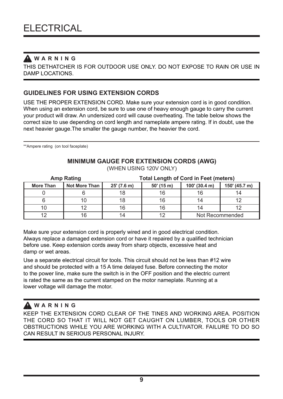#### **W A R N I N G**

THIS DETHATCHER IS FOR OUTDOOR USE ONLY. DO NOT EXPOSE TO RAIN OR USE IN DAMP LOCATIONS.

#### **GUIDELINES FOR USING EXTENSION CORDS**

USE THE PROPER EXTENSION CORD. Make sure your extension cord is in good condition. When using an extension cord, be sure to use one of heavy enough gauge to carry the current your product will draw. An undersized cord will cause overheating. The table below shows the correct size to use depending on cord length and nameplate ampere rating. If in doubt, use the next heavier gauge.The smaller the gauge number, the heavier the cord.

\*\*Ampere rating (on tool faceplate)

#### **MINIMUM GAUGE FOR EXTENSION CORDS (AWG)** (WHEN USING 120V ONLY)

| <b>Amp Rating</b> |               |             | <b>Total Length of Cord in Feet (meters)</b> |                 |               |
|-------------------|---------------|-------------|----------------------------------------------|-----------------|---------------|
| More Than         | Not More Than | 25' (7.6 m) | $50'$ (15 m)                                 | 100' (30.4 m)   | 150' (45.7 m) |
|                   |               |             | 16                                           | 16              | 14            |
|                   |               |             | 16                                           | 14              | 12            |
|                   |               | 16          | 16                                           |                 |               |
| 12                |               |             | 12                                           | Not Recommended |               |

Make sure your extension cord is properly wired and in good electrical condition. Always replace a damaged extension cord or have it repaired by a qualified technician before use. Keep extension cords away from sharp objects, excessive heat and damp or wet areas.

Use a separate electrical circuit for tools. This circuit should not be less than #12 wire and should be protected with a 15 A time delayed fuse. Before connecting the motor to the power line, make sure the switch is in the OFF position and the electric current is rated the same as the current stamped on the motor nameplate. Running at a lower voltage will damage the motor.

#### **W A R N I N G**

KEEP THE EXTENSION CORD CLEAR OF THE TINES AND WORKING AREA. POSITION THE CORD SO THAT IT WILL NOT GET CAUGHT ON LUMBER, TOOLS OR OTHER OBSTRUCTIONS WHILE YOU ARE WORKING WITH A CULTIVATOR. FAILURE TO DO SO CAN RESULT IN SERIOUS PERSONAL INJURY.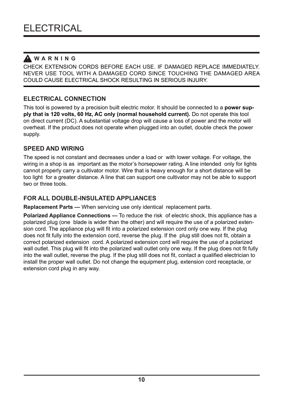#### **W A R N I N G**

CHECK EXTENSION CORDS BEFORE EACH USE. IF DAMAGED REPLACE IMMEDIATELY. NEVER USE TOOL WITH A DAMAGED CORD SINCE TOUCHING THE DAMAGED AREA COULD CAUSE ELECTRICAL SHOCK RESULTING IN SERIOUS INJURY.

#### **ELECTRICAL CONNECTION**

This tool is powered by a precision built electric motor. It should be connected to a **power supply that is 120 volts, 60 Hz, AC only (normal household current).** Do not operate this tool on direct current (DC). A substantial voltage drop will cause a loss of power and the motor will overheat. If the product does not operate when plugged into an outlet, double check the power supply.

#### **SPEED AND WIRING**

The speed is not constant and decreases under a load or with lower voltage. For voltage, the wiring in a shop is as important as the motor's horsepower rating. A line intended only for lights cannot properly carry a cultivator motor. Wire that is heavy enough for a short distance will be too light for a greater distance. A line that can support one cultivator may not be able to support two or three tools.

#### **FOR ALL DOUBLE-INSULATED APPLIANCES**

**Replacement Parts —** When servicing use only identical replacement parts.

**Polarized Appliance Connections —** To reduce the risk of electric shock, this appliance has a polarized plug (one blade is wider than the other) and will require the use of a polarized extension cord. The appliance plug will fit into a polarized extension cord only one way. If the plug does not fit fully into the extension cord, reverse the plug. If the plug still does not fit, obtain a correct polarized extension cord. A polarized extension cord will require the use of a polarized wall outlet. This plug will fit into the polarized wall outlet only one way. If the plug does not fit fully into the wall outlet, reverse the plug. If the plug still does not fit, contact a qualified electrician to install the proper wall outlet. Do not change the equipment plug, extension cord receptacle, or extension cord plug in any way.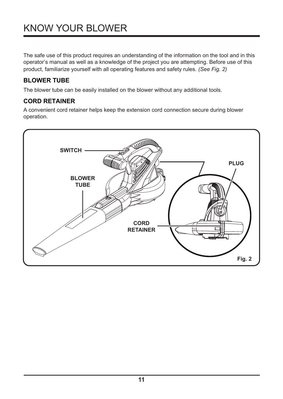## KNOW YOUR BLOWER

The safe use of this product requires an understanding of the information on the tool and in this operator's manual as well as a knowledge of the project you are attempting. Before use of this product, familiarize yourself with all operating features and safety rules. *(See Fig. 2)*

#### **BLOWER TUBE**

The blower tube can be easily installed on the blower without any additional tools.

#### **CORD RETAINER**

A convenient cord retainer helps keep the extension cord connection secure during blower operation.

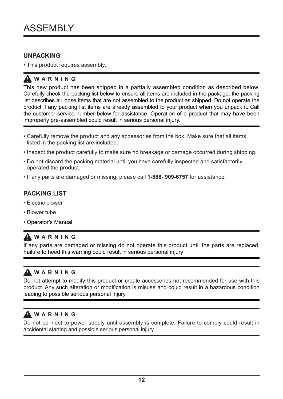#### **UNPACKING**

• This product requires assembly.



This new product has been shipped in a partially assembled condition as described below. Carefully check the packing list below to ensure all items are included in the package; the packing list describes all loose items that are not assembled to the product as shipped. Do not operate the product if any packing list items are already assembled to your product when you unpack it. Call the customer service number below for assistance. Operation of a product that may have been improperly pre-assembled could result in serious personal injury.

- Carefully remove the product and any accessories from the box. Make sure that all items listed in the packing list are included.
- Inspect the product carefully to make sure no breakage or damage occurred during shipping.
- Do not discard the packing material until you have carefully inspected and satisfactorily operated the product.
- If any parts are damaged or missing, please call **1-888- 909-6757** for assistance.

#### **PACKING LIST**

- Electric blower
- Blower tube
- Operator's Manual

#### **W A R N I N G**

If any parts are damaged or missing do not operate this product until the parts are replaced. Failure to heed this warning could result in serious personal injury

#### **W A R N I N G**

Do not attempt to modify this product or create accessories not recommended for use with this product. Any such alteration or modification is misuse and could result in a hazardous condition leading to possible serious personal injury.

### **W A R N I N G**

Do not connect to power supply until assembly is complete. Failure to comply could result in accidental starting and possible serious personal injury.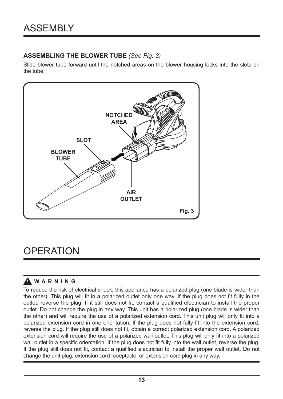#### **ASSEMBLING THE BLOWER TUBE** *(See Fig. 3)*

Slide blower tube forward until the notched areas on the blower housing locks into the slots on the tube.



### **OPFRATION**

#### **W A R N I N G**

To reduce the risk of electrical shock, this appliance has a polarized plug (one blade is wider than the other). This plug will fit in a polarized outlet only one way. If the plug does not fit fully in the outlet, reverse the plug. If it still does not fit, contact a qualified electrician to install the proper outlet. Do not change the plug in any way. This unit has a polarized plug (one blade is wider than the other) and will require the use of a polarized extension cord. This unit plug will only fit into a polarized extension cord in one orientation. If the plug does not fully fit into the extension cord, reverse the plug. If the plug still does not fit, obtain a correct polarized extension cord. A polarized extension cord will require the use of a polarized wall outlet. This plug will only fit into a polarized wall outlet in a specific orientation. If the plug does not fit fully into the wall outlet, reverse the plug. If the plug still does not fit, contact a qualified electrician to install the proper wall outlet. Do not change the unit plug, extension cord receptacle, or extension cord plug in any way.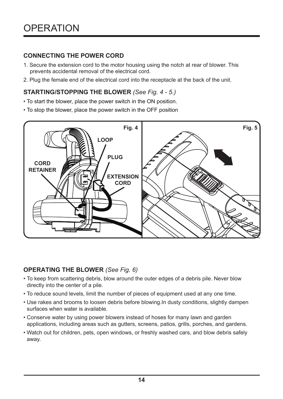#### **CONNECTING THE POWER CORD**

- 1. Secure the extension cord to the motor housing using the notch at rear of blower. This prevents accidental removal of the electrical cord.
- 2. Plug the female end of the electrical cord into the receptacle at the back of the unit.

#### **STARTING/STOPPING THE BLOWER** *(See Fig. 4 - 5.)*

- To start the blower, place the power switch in the ON position.
- To stop the blower, place the power switch in the OFF position



#### **OPERATING THE BLOWER** *(See Fig. 6)*

- To keep from scattering debris, blow around the outer edges of a debris pile. Never blow directly into the center of a pile.
- To reduce sound levels, limit the number of pieces of equipment used at any one time.
- Use rakes and brooms to loosen debris before blowing.In dusty conditions, slightly dampen surfaces when water is available.
- Conserve water by using power blowers instead of hoses for many lawn and garden applications, including areas such as gutters, screens, patios, grills, porches, and gardens.
- Watch out for children, pets, open windows, or freshly washed cars, and blow debris safely away.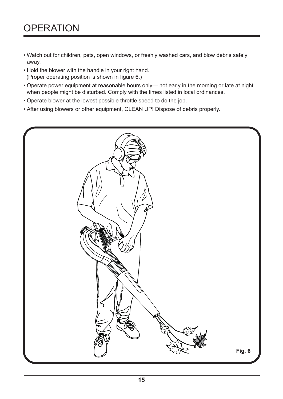### **OPFRATION**

- Watch out for children, pets, open windows, or freshly washed cars, and blow debris safely away.
- Hold the blower with the handle in your right hand. (Proper operating position is shown in figure 6.)
- Operate power equipment at reasonable hours only— not early in the morning or late at night when people might be disturbed. Comply with the times listed in local ordinances.
- Operate blower at the lowest possible throttle speed to do the job.
- After using blowers or other equipment, CLEAN UP! Dispose of debris properly.

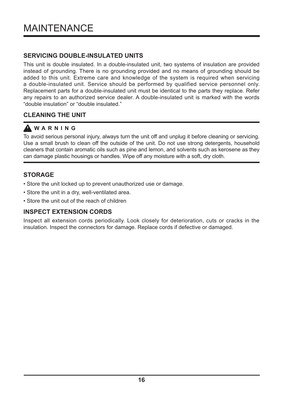#### **SERVICING DOUBLE-INSULATED UNITS**

This unit is double insulated. In a double-insulated unit, two systems of insulation are provided instead of grounding. There is no grounding provided and no means of grounding should be added to this unit. Extreme care and knowledge of the system is required when servicing a double-insulated unit. Service should be performed by qualified service personnel only. Replacement parts for a double-insulated unit must be identical to the parts they replace. Refer any repairs to an authorized service dealer. A double-insulated unit is marked with the words "double insulation" or "double insulated."

#### **CLEANING THE UNIT**

#### **W A R N I N G**

To avoid serious personal injury, always turn the unit off and unplug it before cleaning or servicing. Use a small brush to clean off the outside of the unit. Do not use strong detergents, household cleaners that contain aromatic oils such as pine and lemon, and solvents such as kerosene as they can damage plastic housings or handles. Wipe off any moisture with a soft, dry cloth.

#### **STORAGE**

- Store the unit locked up to prevent unauthorized use or damage.
- Store the unit in a dry, well-ventilated area.
- Store the unit out of the reach of children

#### **INSPECT EXTENSION CORDS**

Inspect all extension cords periodically. Look closely for deterioration, cuts or cracks in the insulation. Inspect the connectors for damage. Replace cords if defective or damaged.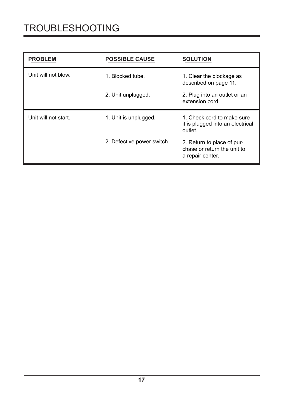| <b>PROBLEM</b>       | <b>POSSIBLE CAUSE</b>      | <b>SOLUTION</b>                                                               |
|----------------------|----------------------------|-------------------------------------------------------------------------------|
| Unit will not blow.  | 1. Blocked tube.           |                                                                               |
|                      | 2. Unit unplugged.         | 2. Plug into an outlet or an<br>extension cord.                               |
| Unit will not start. | 1. Unit is unplugged.      | 1. Check cord to make sure<br>it is plugged into an electrical<br>outlet.     |
|                      | 2. Defective power switch. | 2. Return to place of pur-<br>chase or return the unit to<br>a repair center. |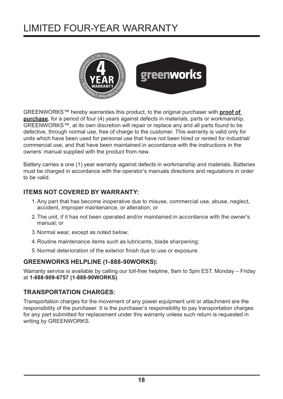## LIMITED FOUR-YEAR WARRANTY



GREENWORKS™ hereby warranties this product, to the original purchaser with **proof of purchase**, for a period of four (4) years against defects in materials, parts or workmanship. GREENWORKS™, at its own discretion will repair or replace any and all parts found to be defective, through normal use, free of charge to the customer. This warranty is valid only for units which have been used for personal use that have not been hired or rented for industrial/ commercial use, and that have been maintained in accordance with the instructions in the owners' manual supplied with the product from new.

Battery carries a one (1) year warranty against defects in workmanship and materials. Batteries must be charged in accordance with the operator's manuals directions and regulations in order to be valid.

#### **ITEMS NOT COVERED BY WARRANTY:**

- 1. Any part that has become inoperative due to misuse, commercial use, abuse, neglect, accident, improper maintenance, or alteration; or
- 2.The unit, if it has not been operated and/or maintained in accordance with the owner's manual; or
- 3. Normal wear, except as noted below;
- 4. Routine maintenance items such as lubricants, blade sharpening;
- 5. Normal deterioration of the exterior finish due to use or exposure.

#### **GREENWORKS HELPLINE (1-888-90WORKS):**

Warranty service is available by calling our toll-free helpline, 9am to 5pm EST. Monday – Friday at **1-888-909-6757 (1-888-90WORKS)**.

#### **TRANSPORTATION CHARGES:**

Transportation charges for the movement of any power equipment unit or attachment are the responsibility of the purchaser. It is the purchaser's responsibility to pay transportation charges for any part submitted for replacement under this warranty unless such return is requested in writing by GREENWORKS.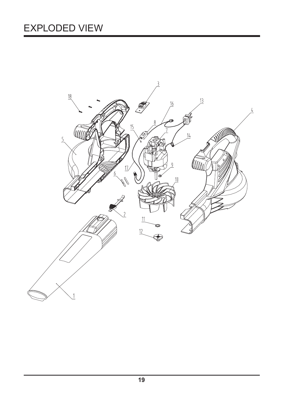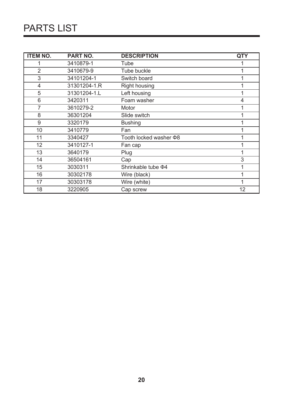| <b>ITEM NO.</b> | <b>PART NO.</b> | <b>DESCRIPTION</b>           | QTY |
|-----------------|-----------------|------------------------------|-----|
|                 | 3410879-1       | Tube                         |     |
| 2               | 3410679-9       | Tube buckle                  |     |
| 3               | 34101204-1      | Switch board                 |     |
| 4               | 31301204-1.R    | Right housing                |     |
| 5               | 31301204-1.L    | Left housing                 |     |
| 6               | 3420311         | Foam washer                  | 4   |
| 7               | 3610279-2       | Motor                        |     |
| 8               | 36301204        | Slide switch                 |     |
| 9               | 3320179         | <b>Bushing</b>               |     |
| 10              | 3410779         | Fan                          |     |
| 11              | 3340427         | Tooth locked washer $\Phi$ 8 |     |
| 12              | 3410127-1       | Fan cap                      |     |
| 13              | 3640179         | Plug                         |     |
| 14              | 36504161        | Cap                          | 3   |
| 15              | 3030311         | Shrinkable tube $\Phi$ 4     |     |
| 16              | 30302178        | Wire (black)                 |     |
| 17              | 30303178        | Wire (white)                 |     |
| 18              | 3220905         | Cap screw                    | 12  |